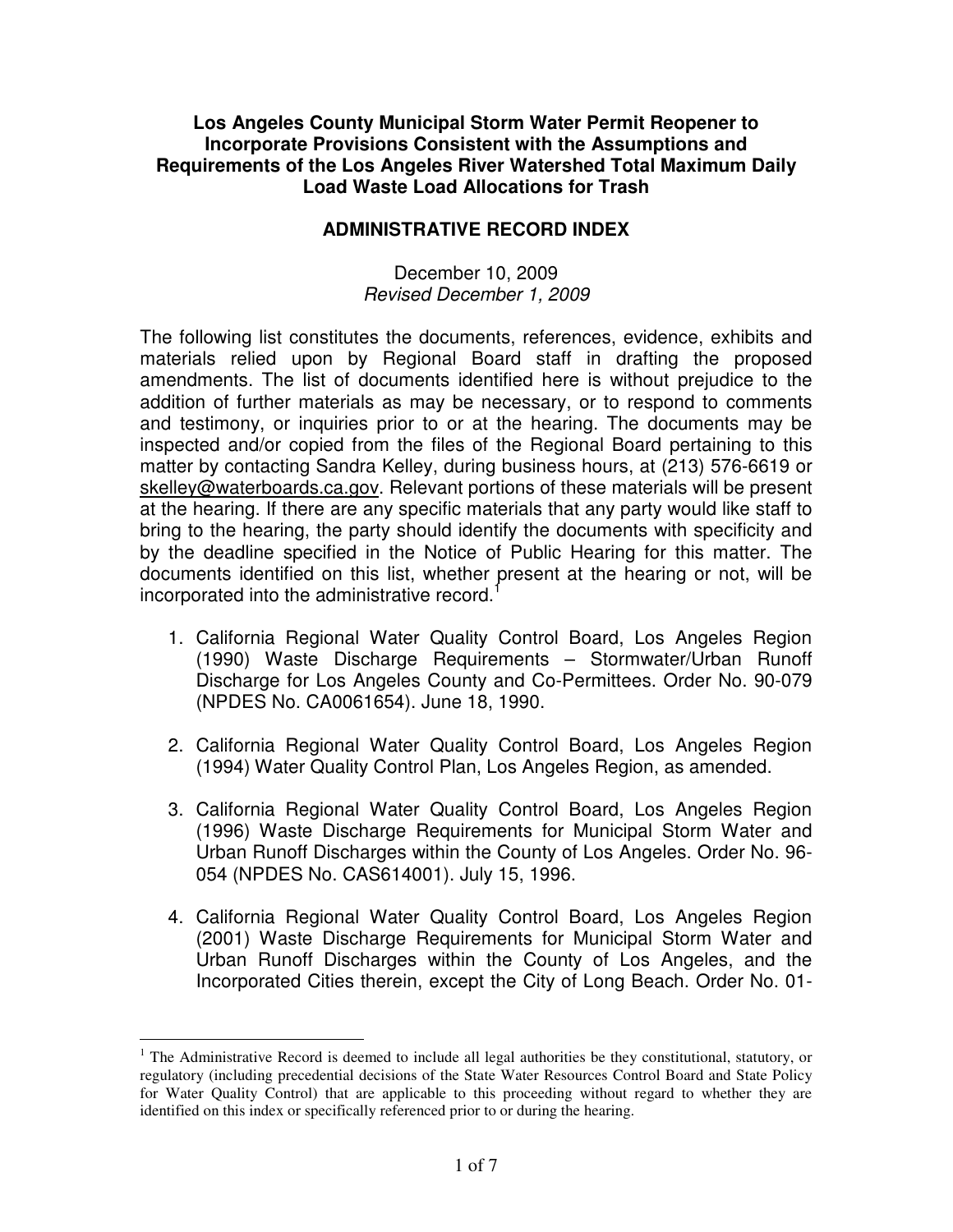## **Los Angeles County Municipal Storm Water Permit Reopener to Incorporate Provisions Consistent with the Assumptions and Requirements of the Los Angeles River Watershed Total Maximum Daily Load Waste Load Allocations for Trash**

## **ADMINISTRATIVE RECORD INDEX**

## December 10, 2009 Revised December 1, 2009

The following list constitutes the documents, references, evidence, exhibits and materials relied upon by Regional Board staff in drafting the proposed amendments. The list of documents identified here is without prejudice to the addition of further materials as may be necessary, or to respond to comments and testimony, or inquiries prior to or at the hearing. The documents may be inspected and/or copied from the files of the Regional Board pertaining to this matter by contacting Sandra Kelley, during business hours, at (213) 576-6619 or skelley@waterboards.ca.gov. Relevant portions of these materials will be present at the hearing. If there are any specific materials that any party would like staff to bring to the hearing, the party should identify the documents with specificity and by the deadline specified in the Notice of Public Hearing for this matter. The documents identified on this list, whether present at the hearing or not, will be incorporated into the administrative record.<sup>1</sup>

- 1. California Regional Water Quality Control Board, Los Angeles Region (1990) Waste Discharge Requirements – Stormwater/Urban Runoff Discharge for Los Angeles County and Co-Permittees. Order No. 90-079 (NPDES No. CA0061654). June 18, 1990.
- 2. California Regional Water Quality Control Board, Los Angeles Region (1994) Water Quality Control Plan, Los Angeles Region, as amended.
- 3. California Regional Water Quality Control Board, Los Angeles Region (1996) Waste Discharge Requirements for Municipal Storm Water and Urban Runoff Discharges within the County of Los Angeles. Order No. 96- 054 (NPDES No. CAS614001). July 15, 1996.
- 4. California Regional Water Quality Control Board, Los Angeles Region (2001) Waste Discharge Requirements for Municipal Storm Water and Urban Runoff Discharges within the County of Los Angeles, and the Incorporated Cities therein, except the City of Long Beach. Order No. 01-

 $\overline{a}$ <sup>1</sup> The Administrative Record is deemed to include all legal authorities be they constitutional, statutory, or regulatory (including precedential decisions of the State Water Resources Control Board and State Policy for Water Quality Control) that are applicable to this proceeding without regard to whether they are identified on this index or specifically referenced prior to or during the hearing.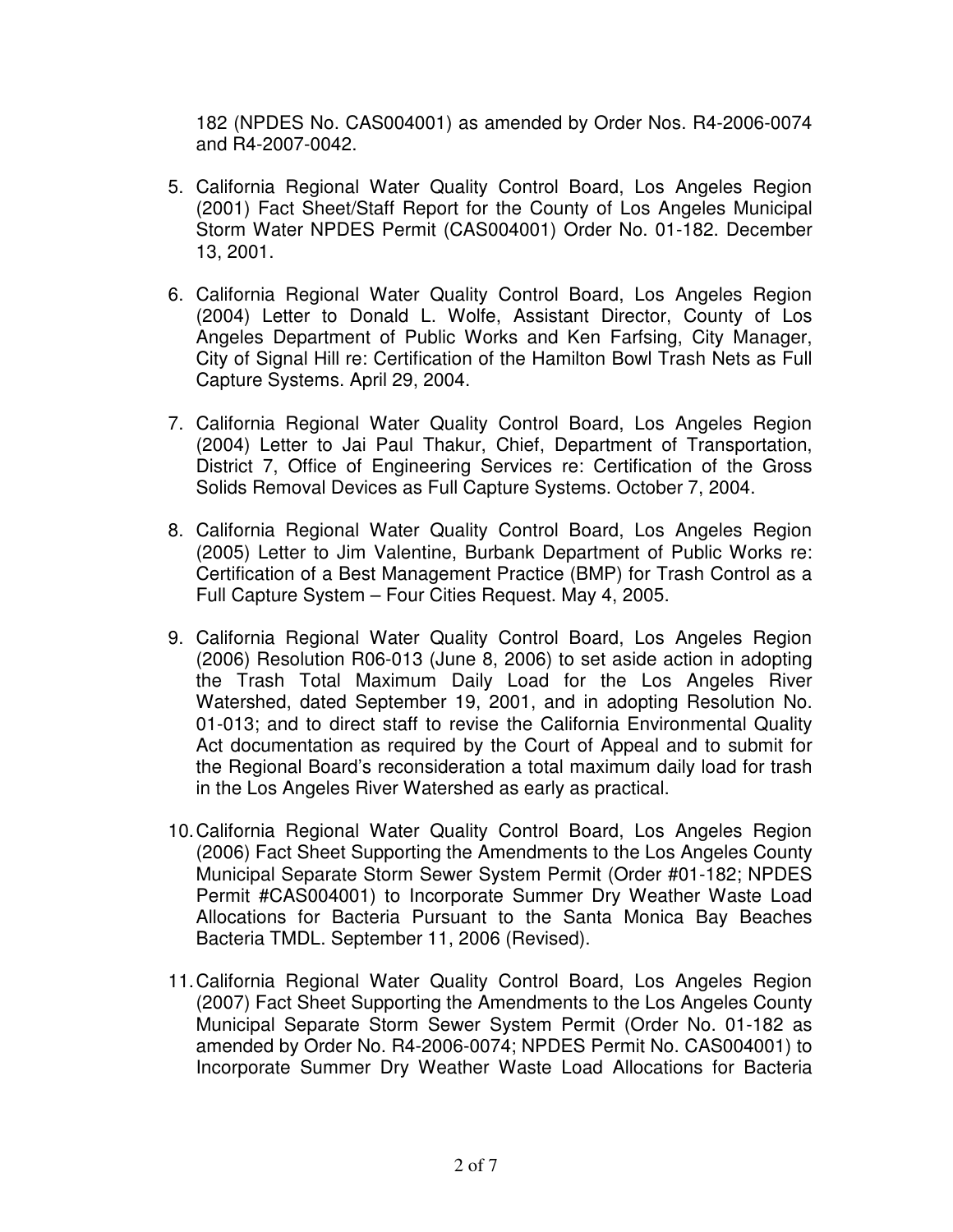182 (NPDES No. CAS004001) as amended by Order Nos. R4-2006-0074 and R4-2007-0042.

- 5. California Regional Water Quality Control Board, Los Angeles Region (2001) Fact Sheet/Staff Report for the County of Los Angeles Municipal Storm Water NPDES Permit (CAS004001) Order No. 01-182. December 13, 2001.
- 6. California Regional Water Quality Control Board, Los Angeles Region (2004) Letter to Donald L. Wolfe, Assistant Director, County of Los Angeles Department of Public Works and Ken Farfsing, City Manager, City of Signal Hill re: Certification of the Hamilton Bowl Trash Nets as Full Capture Systems. April 29, 2004.
- 7. California Regional Water Quality Control Board, Los Angeles Region (2004) Letter to Jai Paul Thakur, Chief, Department of Transportation, District 7, Office of Engineering Services re: Certification of the Gross Solids Removal Devices as Full Capture Systems. October 7, 2004.
- 8. California Regional Water Quality Control Board, Los Angeles Region (2005) Letter to Jim Valentine, Burbank Department of Public Works re: Certification of a Best Management Practice (BMP) for Trash Control as a Full Capture System – Four Cities Request. May 4, 2005.
- 9. California Regional Water Quality Control Board, Los Angeles Region (2006) Resolution R06-013 (June 8, 2006) to set aside action in adopting the Trash Total Maximum Daily Load for the Los Angeles River Watershed, dated September 19, 2001, and in adopting Resolution No. 01-013; and to direct staff to revise the California Environmental Quality Act documentation as required by the Court of Appeal and to submit for the Regional Board's reconsideration a total maximum daily load for trash in the Los Angeles River Watershed as early as practical.
- 10. California Regional Water Quality Control Board, Los Angeles Region (2006) Fact Sheet Supporting the Amendments to the Los Angeles County Municipal Separate Storm Sewer System Permit (Order #01-182; NPDES Permit #CAS004001) to Incorporate Summer Dry Weather Waste Load Allocations for Bacteria Pursuant to the Santa Monica Bay Beaches Bacteria TMDL. September 11, 2006 (Revised).
- 11. California Regional Water Quality Control Board, Los Angeles Region (2007) Fact Sheet Supporting the Amendments to the Los Angeles County Municipal Separate Storm Sewer System Permit (Order No. 01-182 as amended by Order No. R4-2006-0074; NPDES Permit No. CAS004001) to Incorporate Summer Dry Weather Waste Load Allocations for Bacteria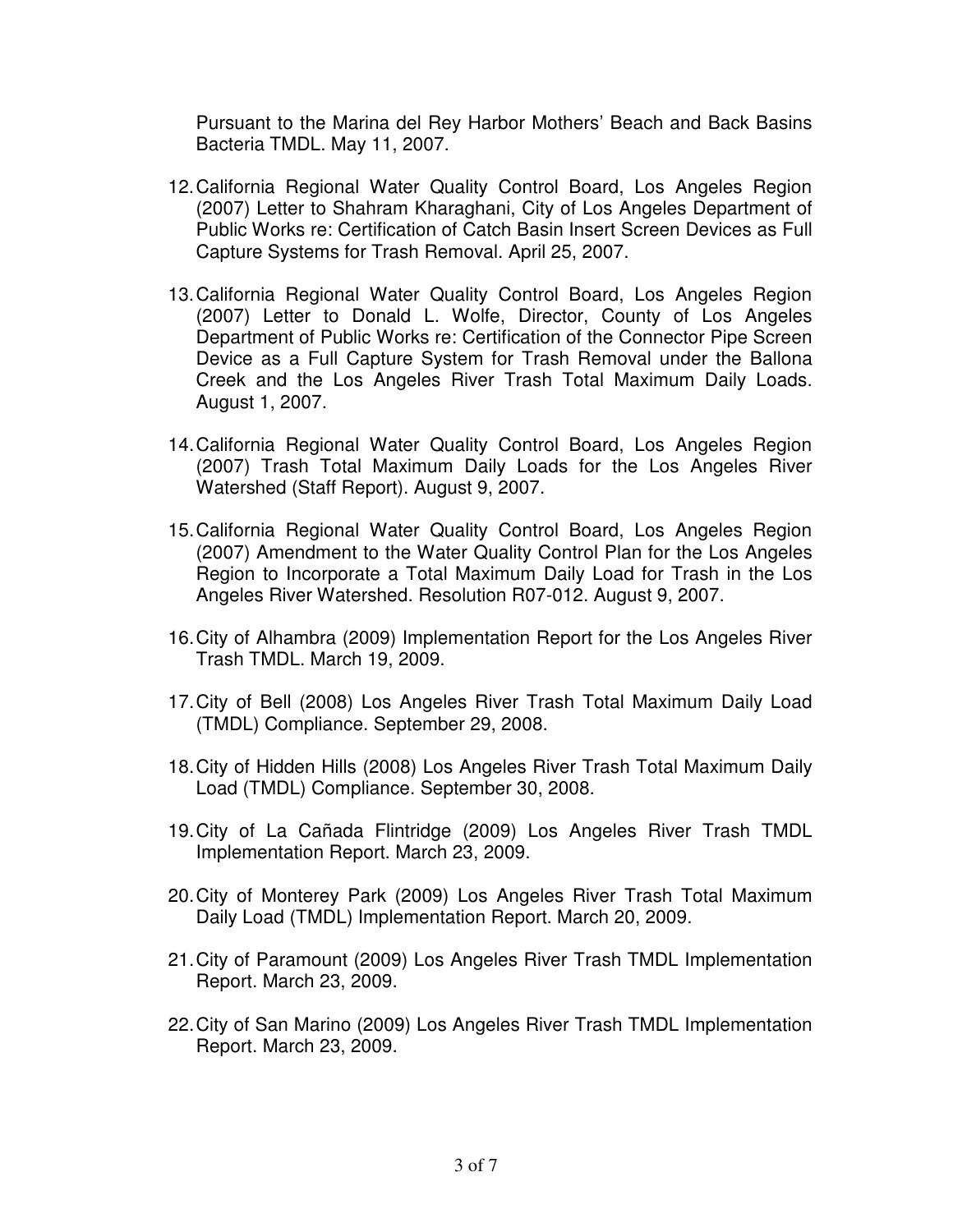Pursuant to the Marina del Rey Harbor Mothers' Beach and Back Basins Bacteria TMDL. May 11, 2007.

- 12. California Regional Water Quality Control Board, Los Angeles Region (2007) Letter to Shahram Kharaghani, City of Los Angeles Department of Public Works re: Certification of Catch Basin Insert Screen Devices as Full Capture Systems for Trash Removal. April 25, 2007.
- 13. California Regional Water Quality Control Board, Los Angeles Region (2007) Letter to Donald L. Wolfe, Director, County of Los Angeles Department of Public Works re: Certification of the Connector Pipe Screen Device as a Full Capture System for Trash Removal under the Ballona Creek and the Los Angeles River Trash Total Maximum Daily Loads. August 1, 2007.
- 14. California Regional Water Quality Control Board, Los Angeles Region (2007) Trash Total Maximum Daily Loads for the Los Angeles River Watershed (Staff Report). August 9, 2007.
- 15. California Regional Water Quality Control Board, Los Angeles Region (2007) Amendment to the Water Quality Control Plan for the Los Angeles Region to Incorporate a Total Maximum Daily Load for Trash in the Los Angeles River Watershed. Resolution R07-012. August 9, 2007.
- 16. City of Alhambra (2009) Implementation Report for the Los Angeles River Trash TMDL. March 19, 2009.
- 17. City of Bell (2008) Los Angeles River Trash Total Maximum Daily Load (TMDL) Compliance. September 29, 2008.
- 18. City of Hidden Hills (2008) Los Angeles River Trash Total Maximum Daily Load (TMDL) Compliance. September 30, 2008.
- 19. City of La Cañada Flintridge (2009) Los Angeles River Trash TMDL Implementation Report. March 23, 2009.
- 20. City of Monterey Park (2009) Los Angeles River Trash Total Maximum Daily Load (TMDL) Implementation Report. March 20, 2009.
- 21. City of Paramount (2009) Los Angeles River Trash TMDL Implementation Report. March 23, 2009.
- 22. City of San Marino (2009) Los Angeles River Trash TMDL Implementation Report. March 23, 2009.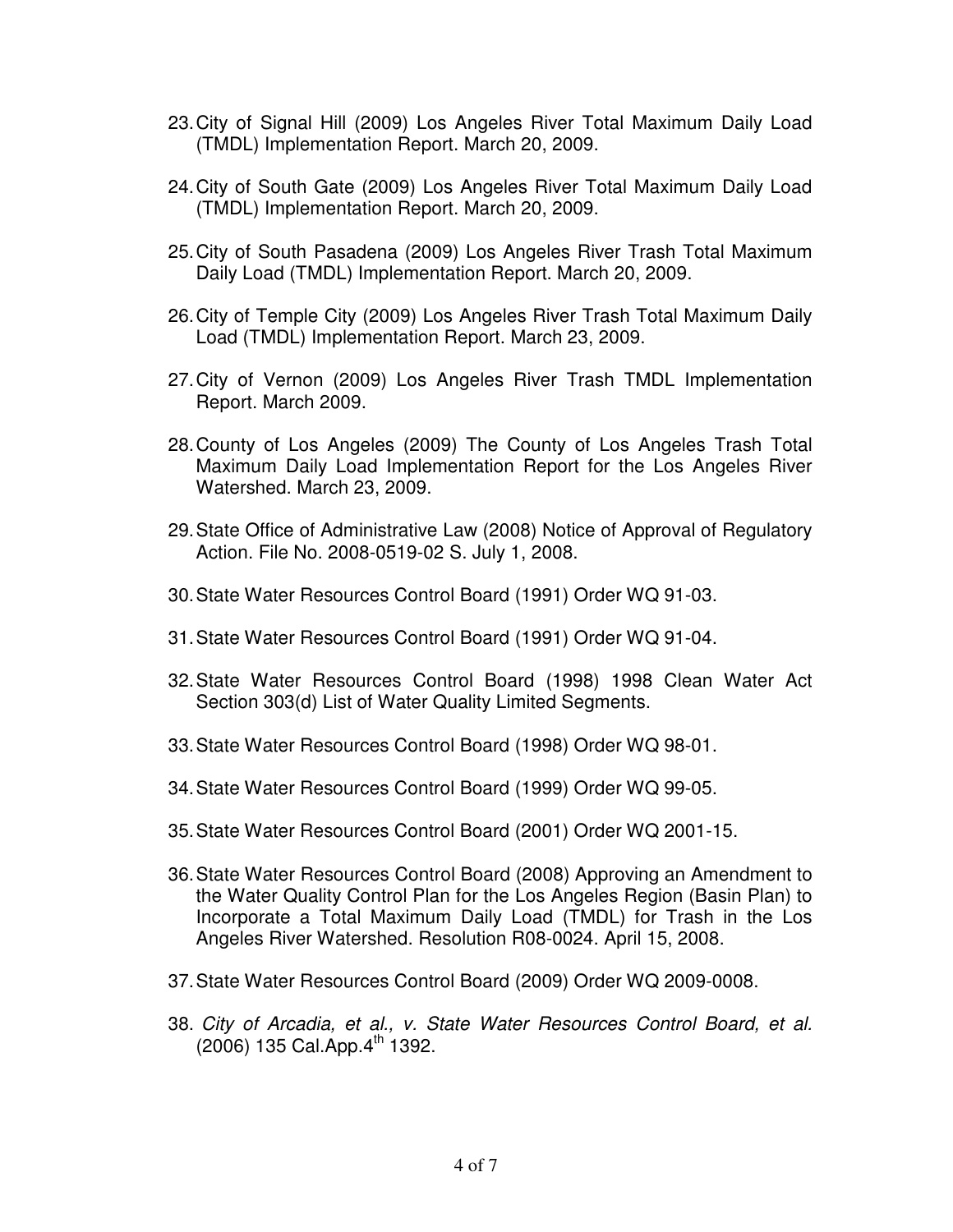- 23. City of Signal Hill (2009) Los Angeles River Total Maximum Daily Load (TMDL) Implementation Report. March 20, 2009.
- 24. City of South Gate (2009) Los Angeles River Total Maximum Daily Load (TMDL) Implementation Report. March 20, 2009.
- 25. City of South Pasadena (2009) Los Angeles River Trash Total Maximum Daily Load (TMDL) Implementation Report. March 20, 2009.
- 26. City of Temple City (2009) Los Angeles River Trash Total Maximum Daily Load (TMDL) Implementation Report. March 23, 2009.
- 27. City of Vernon (2009) Los Angeles River Trash TMDL Implementation Report. March 2009.
- 28. County of Los Angeles (2009) The County of Los Angeles Trash Total Maximum Daily Load Implementation Report for the Los Angeles River Watershed. March 23, 2009.
- 29. State Office of Administrative Law (2008) Notice of Approval of Regulatory Action. File No. 2008-0519-02 S. July 1, 2008.
- 30. State Water Resources Control Board (1991) Order WQ 91-03.
- 31. State Water Resources Control Board (1991) Order WQ 91-04.
- 32. State Water Resources Control Board (1998) 1998 Clean Water Act Section 303(d) List of Water Quality Limited Segments.
- 33. State Water Resources Control Board (1998) Order WQ 98-01.
- 34. State Water Resources Control Board (1999) Order WQ 99-05.
- 35. State Water Resources Control Board (2001) Order WQ 2001-15.
- 36. State Water Resources Control Board (2008) Approving an Amendment to the Water Quality Control Plan for the Los Angeles Region (Basin Plan) to Incorporate a Total Maximum Daily Load (TMDL) for Trash in the Los Angeles River Watershed. Resolution R08-0024. April 15, 2008.
- 37. State Water Resources Control Board (2009) Order WQ 2009-0008.
- 38. City of Arcadia, et al., v. State Water Resources Control Board, et al.  $(2006)$  135 Cal. App.  $4^{th}$  1392.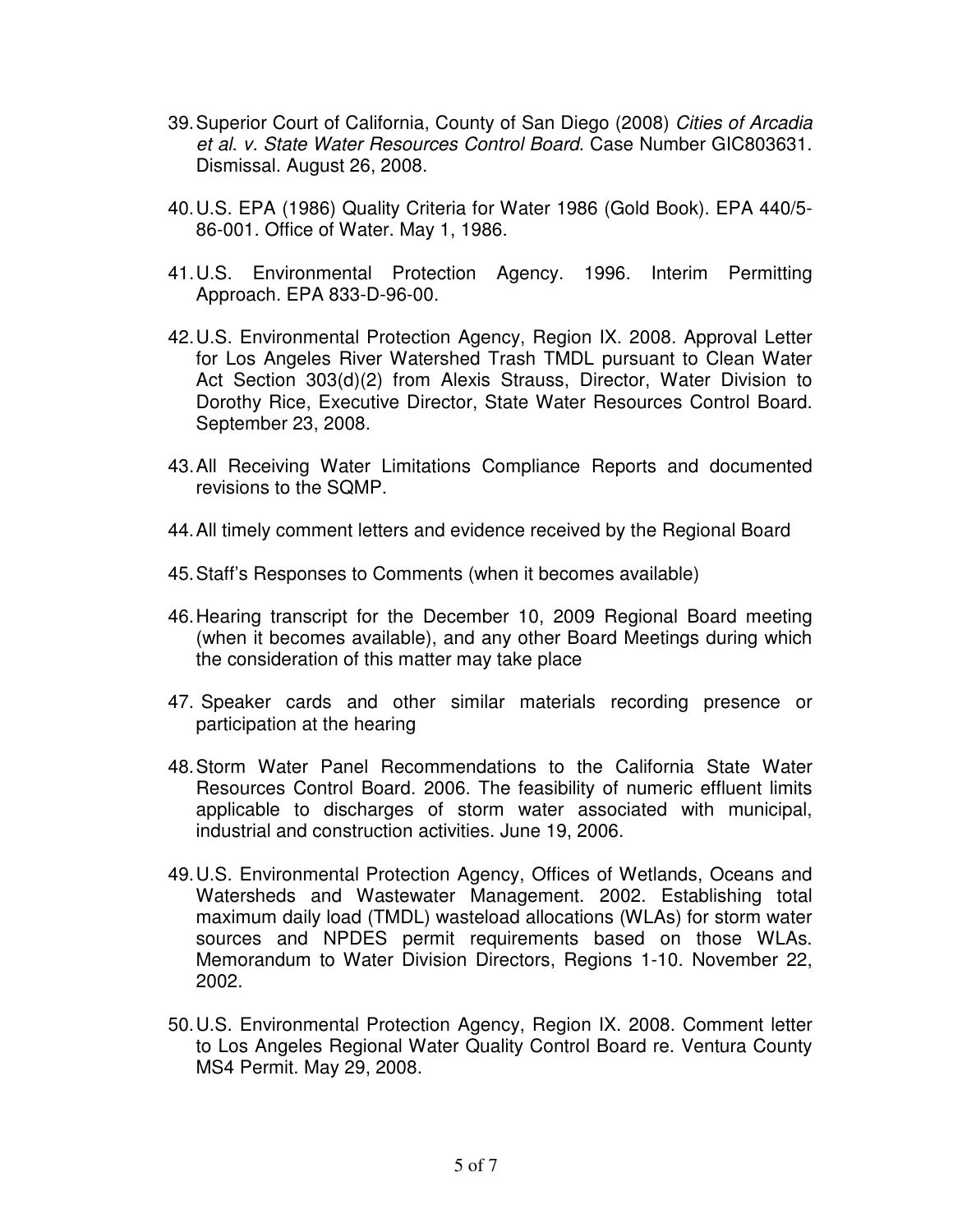- 39. Superior Court of California, County of San Diego (2008) Cities of Arcadia et al. v. State Water Resources Control Board. Case Number GIC803631. Dismissal. August 26, 2008.
- 40. U.S. EPA (1986) Quality Criteria for Water 1986 (Gold Book). EPA 440/5- 86-001. Office of Water. May 1, 1986.
- 41. U.S. Environmental Protection Agency. 1996. Interim Permitting Approach. EPA 833-D-96-00.
- 42. U.S. Environmental Protection Agency, Region IX. 2008. Approval Letter for Los Angeles River Watershed Trash TMDL pursuant to Clean Water Act Section 303(d)(2) from Alexis Strauss, Director, Water Division to Dorothy Rice, Executive Director, State Water Resources Control Board. September 23, 2008.
- 43. All Receiving Water Limitations Compliance Reports and documented revisions to the SQMP.
- 44. All timely comment letters and evidence received by the Regional Board
- 45. Staff's Responses to Comments (when it becomes available)
- 46. Hearing transcript for the December 10, 2009 Regional Board meeting (when it becomes available), and any other Board Meetings during which the consideration of this matter may take place
- 47. Speaker cards and other similar materials recording presence or participation at the hearing
- 48. Storm Water Panel Recommendations to the California State Water Resources Control Board. 2006. The feasibility of numeric effluent limits applicable to discharges of storm water associated with municipal, industrial and construction activities. June 19, 2006.
- 49. U.S. Environmental Protection Agency, Offices of Wetlands, Oceans and Watersheds and Wastewater Management. 2002. Establishing total maximum daily load (TMDL) wasteload allocations (WLAs) for storm water sources and NPDES permit requirements based on those WLAs. Memorandum to Water Division Directors, Regions 1-10. November 22, 2002.
- 50. U.S. Environmental Protection Agency, Region IX. 2008. Comment letter to Los Angeles Regional Water Quality Control Board re. Ventura County MS4 Permit. May 29, 2008.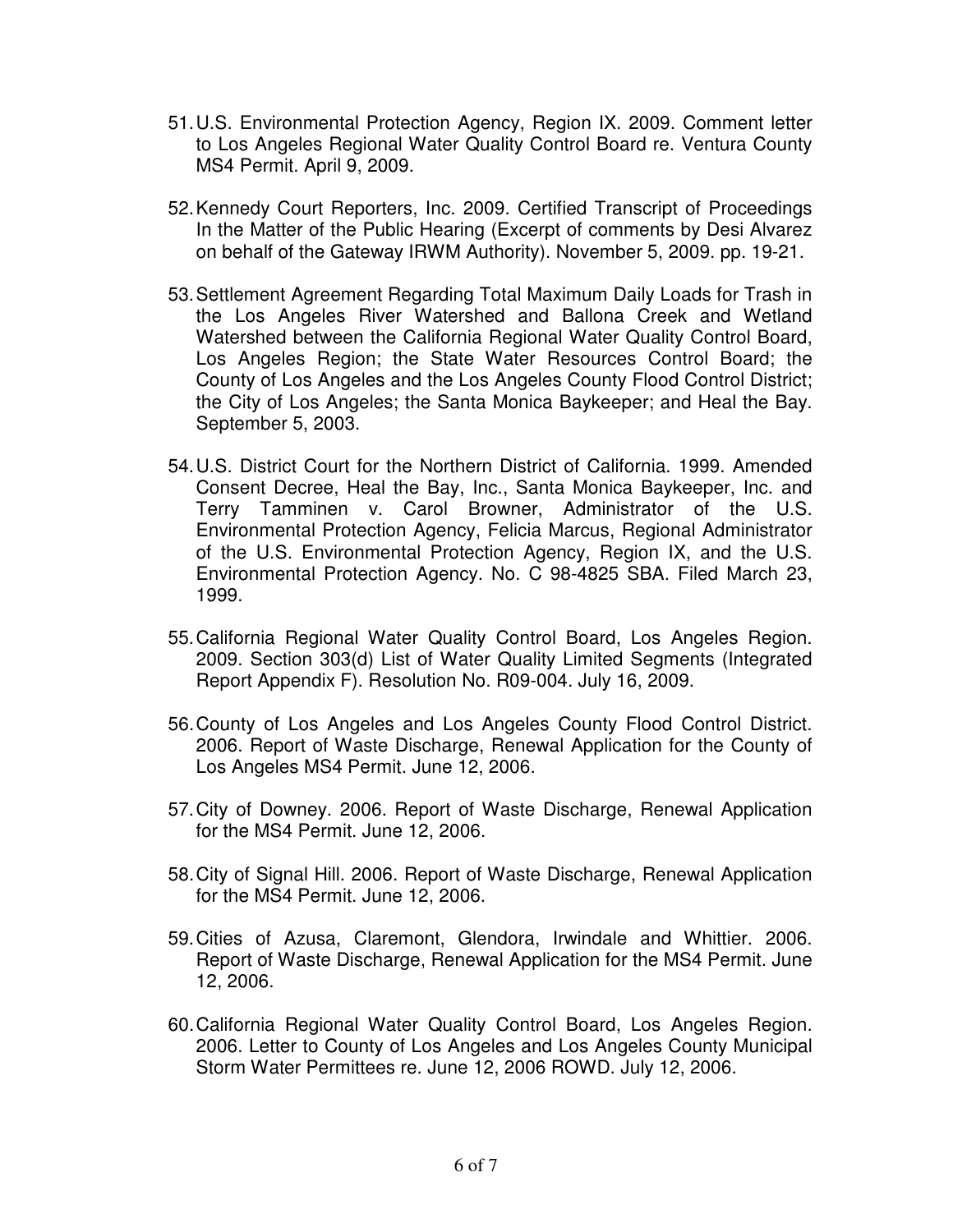- 51. U.S. Environmental Protection Agency, Region IX. 2009. Comment letter to Los Angeles Regional Water Quality Control Board re. Ventura County MS4 Permit. April 9, 2009.
- 52. Kennedy Court Reporters, Inc. 2009. Certified Transcript of Proceedings In the Matter of the Public Hearing (Excerpt of comments by Desi Alvarez on behalf of the Gateway IRWM Authority). November 5, 2009. pp. 19-21.
- 53. Settlement Agreement Regarding Total Maximum Daily Loads for Trash in the Los Angeles River Watershed and Ballona Creek and Wetland Watershed between the California Regional Water Quality Control Board, Los Angeles Region; the State Water Resources Control Board; the County of Los Angeles and the Los Angeles County Flood Control District; the City of Los Angeles; the Santa Monica Baykeeper; and Heal the Bay. September 5, 2003.
- 54. U.S. District Court for the Northern District of California. 1999. Amended Consent Decree, Heal the Bay, Inc., Santa Monica Baykeeper, Inc. and Terry Tamminen v. Carol Browner, Administrator of the U.S. Environmental Protection Agency, Felicia Marcus, Regional Administrator of the U.S. Environmental Protection Agency, Region IX, and the U.S. Environmental Protection Agency. No. C 98-4825 SBA. Filed March 23, 1999.
- 55. California Regional Water Quality Control Board, Los Angeles Region. 2009. Section 303(d) List of Water Quality Limited Segments (Integrated Report Appendix F). Resolution No. R09-004. July 16, 2009.
- 56. County of Los Angeles and Los Angeles County Flood Control District. 2006. Report of Waste Discharge, Renewal Application for the County of Los Angeles MS4 Permit. June 12, 2006.
- 57. City of Downey. 2006. Report of Waste Discharge, Renewal Application for the MS4 Permit. June 12, 2006.
- 58. City of Signal Hill. 2006. Report of Waste Discharge, Renewal Application for the MS4 Permit. June 12, 2006.
- 59. Cities of Azusa, Claremont, Glendora, Irwindale and Whittier. 2006. Report of Waste Discharge, Renewal Application for the MS4 Permit. June 12, 2006.
- 60. California Regional Water Quality Control Board, Los Angeles Region. 2006. Letter to County of Los Angeles and Los Angeles County Municipal Storm Water Permittees re. June 12, 2006 ROWD. July 12, 2006.